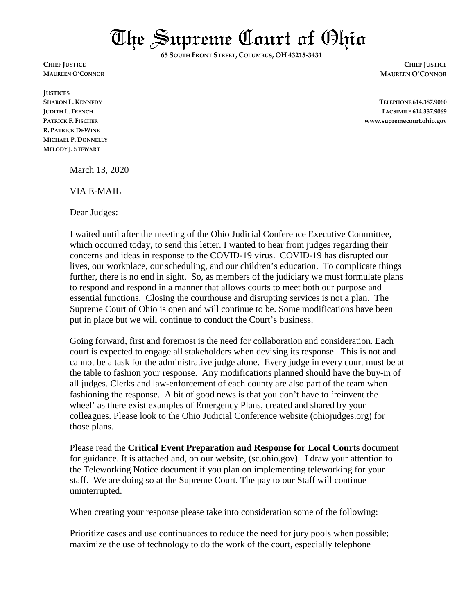The Supreme Court of Ohio

**65 SOUTH FRONT STREET, COLUMBUS, OH 43215-3431**

**JUSTICES R. PATRICK DEWINE MICHAEL P. DONNELLY MELODY J. STEWART**

**CHIEF JUSTICE CHIEF JUSTICE MAUREEN O'CONNOR MAUREEN O'CONNOR**

**SHARON L. KENNEDY TELEPHONE 614.387.9060 JUDITH L. FRENCH FACSIMILE 614.387.9069 PATRICK F. FISCHER www.supremecourt.ohio.gov**

March 13, 2020

VIA E-MAIL

Dear Judges:

I waited until after the meeting of the Ohio Judicial Conference Executive Committee, which occurred today, to send this letter. I wanted to hear from judges regarding their concerns and ideas in response to the COVID-19 virus. COVID-19 has disrupted our lives, our workplace, our scheduling, and our children's education. To complicate things further, there is no end in sight. So, as members of the judiciary we must formulate plans to respond and respond in a manner that allows courts to meet both our purpose and essential functions. Closing the courthouse and disrupting services is not a plan. The Supreme Court of Ohio is open and will continue to be. Some modifications have been put in place but we will continue to conduct the Court's business.

Going forward, first and foremost is the need for collaboration and consideration. Each court is expected to engage all stakeholders when devising its response. This is not and cannot be a task for the administrative judge alone. Every judge in every court must be at the table to fashion your response. Any modifications planned should have the buy-in of all judges. Clerks and law-enforcement of each county are also part of the team when fashioning the response. A bit of good news is that you don't have to 'reinvent the wheel' as there exist examples of Emergency Plans, created and shared by your colleagues. Please look to the Ohio Judicial Conference website (ohiojudges.org) for those plans.

Please read the **Critical Event Preparation and Response for Local Courts** document for guidance. It is attached and, on our website, (sc.ohio.gov). I draw your attention to the Teleworking Notice document if you plan on implementing teleworking for your staff. We are doing so at the Supreme Court. The pay to our Staff will continue uninterrupted.

When creating your response please take into consideration some of the following:

Prioritize cases and use continuances to reduce the need for jury pools when possible; maximize the use of technology to do the work of the court, especially telephone